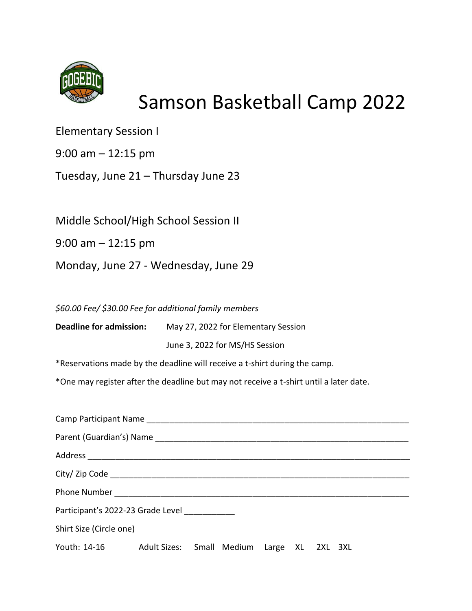

## Samson Basketball Camp 2022

Elementary Session I

9:00 am – 12:15 pm

Tuesday, June 21 – Thursday June 23

Middle School/High School Session II

9:00 am – 12:15 pm

Monday, June 27 - Wednesday, June 29

*\$60.00 Fee/ \$30.00 Fee for additional family members*

**Deadline for admission:** May 27, 2022 for Elementary Session

June 3, 2022 for MS/HS Session

\*Reservations made by the deadline will receive a t-shirt during the camp.

\*One may register after the deadline but may not receive a t-shirt until a later date.

| Participant's 2022-23 Grade Level                       |  |  |  |  |  |  |  |  |
|---------------------------------------------------------|--|--|--|--|--|--|--|--|
| Shirt Size (Circle one)                                 |  |  |  |  |  |  |  |  |
| Youth: 14-16 Adult Sizes: Small Medium Large XL 2XL 3XL |  |  |  |  |  |  |  |  |